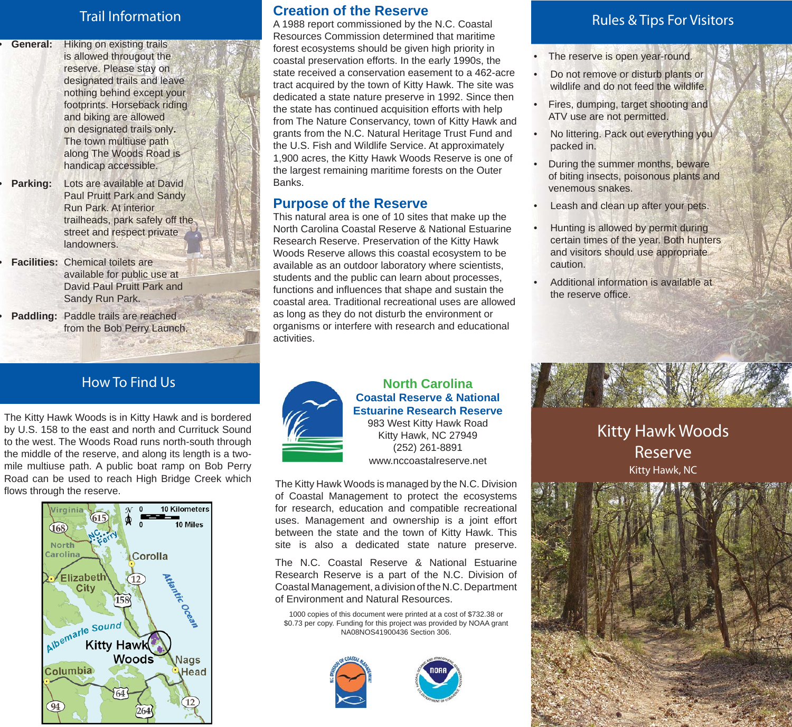## Trail Information

**• General:** Hiking on existing trails is allowed througout the reserve. Please stay on designated trails and leave nothing behind except your footprints. Horseback riding and biking are allowed on designated trails only**.** The town multiuse path along The Woods Road is handicap accessible.

- **• Parking:** Lots are available at David Paul Pruitt Park and Sandy Run Park. At interior trailheads, park safely off the street and respect private landowners.
- **• Facilities:** Chemical toilets are available for public use at David Paul Pruitt Park and Sandy Run Park.
- **• Paddling:** Paddle trails are reached from the Bob Perry Launch.

## How To Find Us

The Kitty Hawk Woods is in Kitty Hawk and is bordered by U.S. 158 to the east and north and Currituck Sound to the west. The Woods Road runs north-south through the middle of the reserve, and along its length is a twomile multiuse path. A public boat ramp on Bob Perry Road can be used to reach High Bridge Creek which flows through the reserve.



#### **Creation of the Reserve**

A 1988 report commissioned by the N.C. Coastal Resources Commission determined that maritime forest ecosystems should be given high priority in coastal preservation efforts. In the early 1990s, the state received a conservation easement to a 462-acre tract acquired by the town of Kitty Hawk. The site was dedicated a state nature preserve in 1992. Since then the state has continued acquisition efforts with help from The Nature Conservancy, town of Kitty Hawk and grants from the N.C. Natural Heritage Trust Fund and the U.S. Fish and Wildlife Service. At approximately 1,900 acres, the Kitty Hawk Woods Reserve is one of the largest remaining maritime forests on the Outer Banks.

## **Purpose of the Reserve**

This natural area is one of 10 sites that make up the North Carolina Coastal Reserve & National Estuarine Research Reserve. Preservation of the Kitty Hawk Woods Reserve allows this coastal ecosystem to be available as an outdoor laboratory where scientists, students and the public can learn about processes, functions and influences that shape and sustain the coastal area. Traditional recreational uses are allowed as long as they do not disturb the environment or organisms or interfere with research and educational activities.



#### **North Carolina Coastal Reserve & National Estuarine Research Reserve**

983 West Kitty Hawk Road Kitty Hawk, NC 27949 (252) 261-8891 www.nccoastalreserve.net

The Kitty Hawk Woods is managed by the N.C. Division of Coastal Management to protect the ecosystems for research, education and compatible recreational uses. Management and ownership is a joint effort between the state and the town of Kitty Hawk. This site is also a dedicated state nature preserve.

The N.C. Coastal Reserve & National Estuarine Research Reserve is a part of the N.C. Division of Coastal Management, a division of the N.C. Department of Environment and Natural Resources.

1000 copies of this document were printed at a cost of \$732.38 or \$0.73 per copy. Funding for this project was provided by NOAA grant NA08NOS41900436 Section 306.





## Rules & Tips For Visitors

- The reserve is open year-round.
- Do not remove or disturb plants or wildlife and do not feed the wildlife.
- Fires, dumping, target shooting and ATV use are not permitted.
- No littering. Pack out everything you packed in.
- During the summer months, beware of biting insects, poisonous plants and venemous snakes.
- Leash and clean up after your pets.
- Hunting is allowed by permit during certain times of the year. Both hunters and visitors should use appropriate caution.
- Additional information is available at the reserve office.